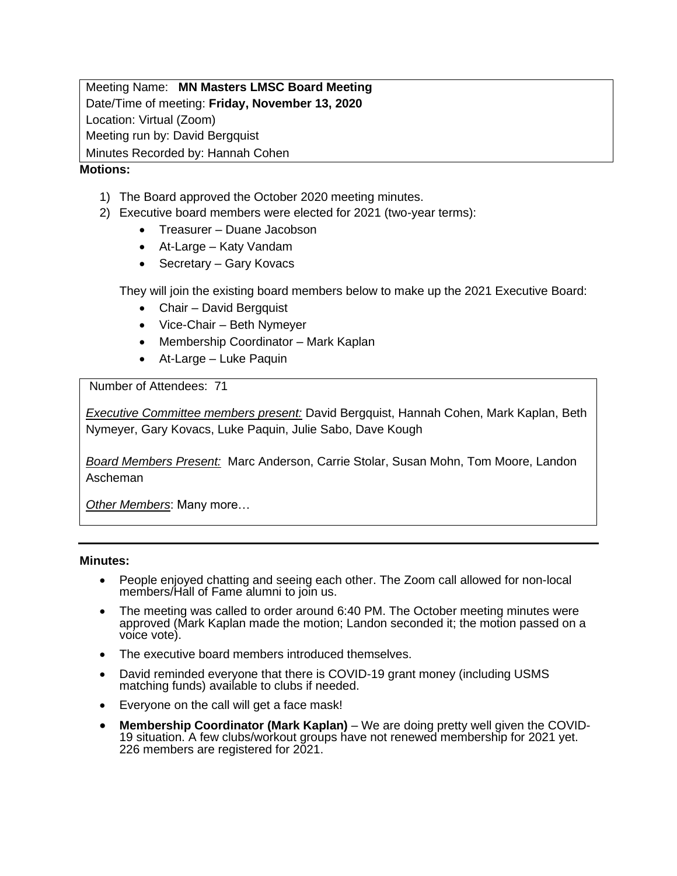Meeting Name: **MN Masters LMSC Board Meeting** Date/Time of meeting: **Friday, November 13, 2020** Location: Virtual (Zoom) Meeting run by: David Bergquist Minutes Recorded by: Hannah Cohen

## **Motions:**

- 1) The Board approved the October 2020 meeting minutes.
- 2) Executive board members were elected for 2021 (two-year terms):
	- Treasurer Duane Jacobson
	- At-Large Katy Vandam
	- Secretary Gary Kovacs

They will join the existing board members below to make up the 2021 Executive Board:

- Chair David Bergquist
- Vice-Chair Beth Nymeyer
- Membership Coordinator Mark Kaplan
- At-Large Luke Paquin

Number of Attendees: 71

*Executive Committee members present:* David Bergquist, Hannah Cohen, Mark Kaplan, Beth Nymeyer, Gary Kovacs, Luke Paquin, Julie Sabo, Dave Kough

*Board Members Present:* Marc Anderson, Carrie Stolar, Susan Mohn, Tom Moore, Landon Ascheman

*Other Members*: Many more…

### **Minutes:**

- People enjoyed chatting and seeing each other. The Zoom call allowed for non-local members/Hall of Fame alumni to join us.
- The meeting was called to order around 6:40 PM. The October meeting minutes were approved (Mark Kaplan made the motion; Landon seconded it; the motion passed on a voice vote).
- The executive board members introduced themselves.
- David reminded everyone that there is COVID-19 grant money (including USMS matching funds) available to clubs if needed.
- Everyone on the call will get a face mask!
- **Membership Coordinator (Mark Kaplan)** We are doing pretty well given the COVID-19 situation. A few clubs/workout groups have not renewed membership for 2021 yet. 226 members are registered for 2021.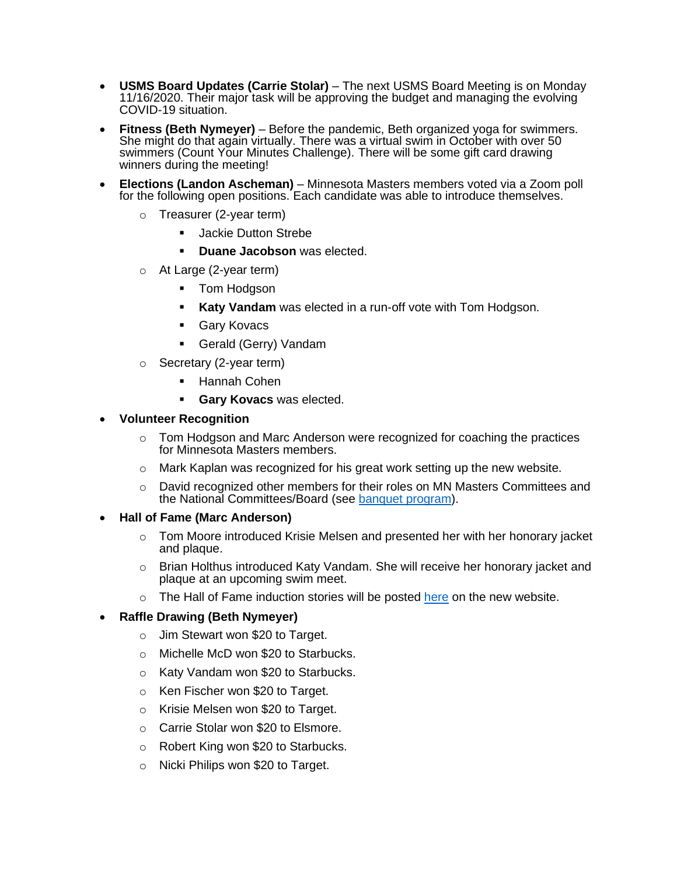- **USMS Board Updates (Carrie Stolar)** The next USMS Board Meeting is on Monday 11/16/2020. Their major task will be approving the budget and managing the evolving COVID-19 situation.
- **Fitness (Beth Nymeyer)** Before the pandemic, Beth organized yoga for swimmers. She might do that again virtually. There was a virtual swim in October with over 50 swimmers (Count Your Minutes Challenge). There will be some gift card drawing winners during the meeting!
- **Elections (Landon Ascheman)** Minnesota Masters members voted via a Zoom poll for the following open positions. Each candidate was able to introduce themselves.
	- o Treasurer (2-year term)
		- **Jackie Dutton Strebe**
		- **Duane Jacobson** was elected.
	- o At Large (2-year term)
		- Tom Hodgson
		- **Katy Vandam** was elected in a run-off vote with Tom Hodgson.
		- Gary Kovacs
		- Gerald (Gerry) Vandam
	- o Secretary (2-year term)
		- Hannah Cohen
		- **Gary Kovacs** was elected.

### • **Volunteer Recognition**

- $\circ$  Tom Hodgson and Marc Anderson were recognized for coaching the practices for Minnesota Masters members.
- $\circ$  Mark Kaplan was recognized for his great work setting up the new website.
- $\circ$  David recognized other members for their roles on MN Masters Committees and the National Committees/Board (see [banquet program\)](https://minnesotamasters.com/images/2020_Program_All_Pages.pdf).

### • **Hall of Fame (Marc Anderson)**

- o Tom Moore introduced Krisie Melsen and presented her with her honorary jacket and plaque.
- o Brian Holthus introduced Katy Vandam. She will receive her honorary jacket and plaque at an upcoming swim meet.
- $\circ$  The Hall of Fame induction stories will be posted [here](https://minnesotamasters.com/index.php/hall-of-fame) on the new website.

# • **Raffle Drawing (Beth Nymeyer)**

- o Jim Stewart won \$20 to Target.
- o Michelle McD won \$20 to Starbucks.
- o Katy Vandam won \$20 to Starbucks.
- o Ken Fischer won \$20 to Target.
- o Krisie Melsen won \$20 to Target.
- o Carrie Stolar won \$20 to Elsmore.
- o Robert King won \$20 to Starbucks.
- o Nicki Philips won \$20 to Target.